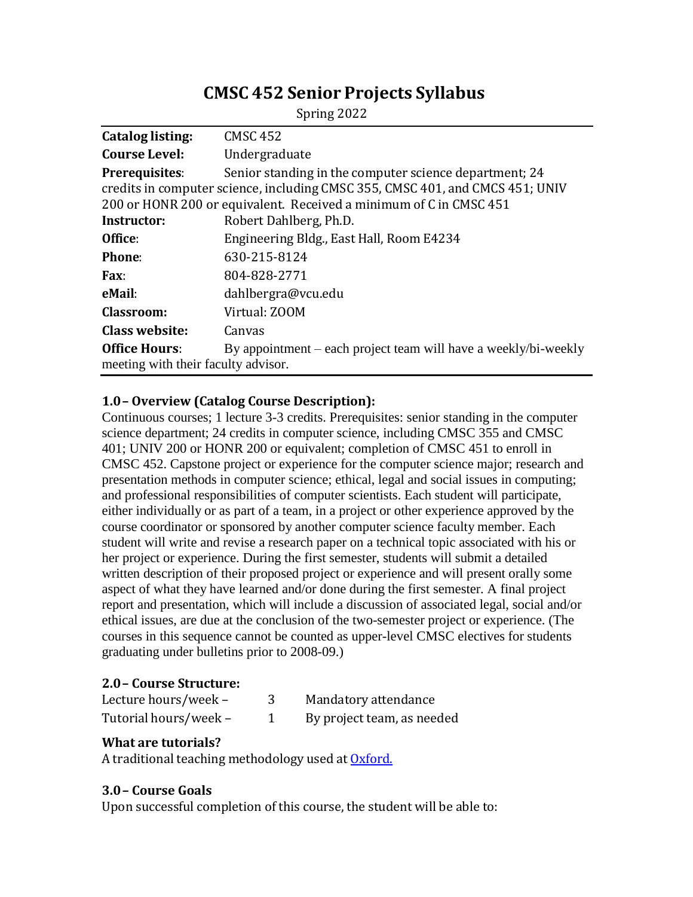# **CMSC 452 Senior Projects Syllabus**

| Catalog listing:                    | <b>CMSC 452</b>                                                                                                                                                                                               |  |  |
|-------------------------------------|---------------------------------------------------------------------------------------------------------------------------------------------------------------------------------------------------------------|--|--|
| <b>Course Level:</b>                | Undergraduate                                                                                                                                                                                                 |  |  |
| Prerequisites:                      | Senior standing in the computer science department; 24<br>credits in computer science, including CMSC 355, CMSC 401, and CMCS 451; UNIV<br>200 or HONR 200 or equivalent. Received a minimum of C in CMSC 451 |  |  |
| <b>Instructor:</b>                  | Robert Dahlberg, Ph.D.                                                                                                                                                                                        |  |  |
| Office:                             | Engineering Bldg., East Hall, Room E4234                                                                                                                                                                      |  |  |
| <b>Phone:</b>                       | 630-215-8124                                                                                                                                                                                                  |  |  |
| Fax:                                | 804-828-2771                                                                                                                                                                                                  |  |  |
| eMail:                              | dahlbergra@vcu.edu                                                                                                                                                                                            |  |  |
| Classroom:                          | Virtual: ZOOM                                                                                                                                                                                                 |  |  |
| <b>Class website:</b>               | Canvas                                                                                                                                                                                                        |  |  |
| <b>Office Hours:</b>                | By appointment – each project team will have a weekly/bi-weekly                                                                                                                                               |  |  |
| meeting with their faculty advisor. |                                                                                                                                                                                                               |  |  |

#### Spring 2022

## **1.0– Overview (Catalog Course Description):**

Continuous courses; 1 lecture 3-3 credits. Prerequisites: senior standing in the computer science department; 24 credits in computer science, including CMSC 355 and CMSC 401; UNIV 200 or HONR 200 or equivalent; completion of CMSC 451 to enroll in CMSC 452. Capstone project or experience for the computer science major; research and presentation methods in computer science; ethical, legal and social issues in computing; and professional responsibilities of computer scientists. Each student will participate, either individually or as part of a team, in a project or other experience approved by the course coordinator or sponsored by another computer science faculty member. Each student will write and revise a research paper on a technical topic associated with his or her project or experience. During the first semester, students will submit a detailed written description of their proposed project or experience and will present orally some aspect of what they have learned and/or done during the first semester. A final project report and presentation, which will include a discussion of associated legal, social and/or ethical issues, are due at the conclusion of the two-semester project or experience. (The courses in this sequence cannot be counted as upper-level CMSC electives for students graduating under bulletins prior to 2008-09.)

## **2.0– Course Structure:**

| Lecture hours/week -  | Mandatory attendance       |
|-----------------------|----------------------------|
| Tutorial hours/week - | By project team, as needed |

# **What are tutorials?**

A traditional teaching methodology used at **[Oxford.](https://www.learning.ox.ac.uk/support/teaching/resources/teaching/)** 

# **3.0– Course Goals**

Upon successful completion of this course, the student will be able to: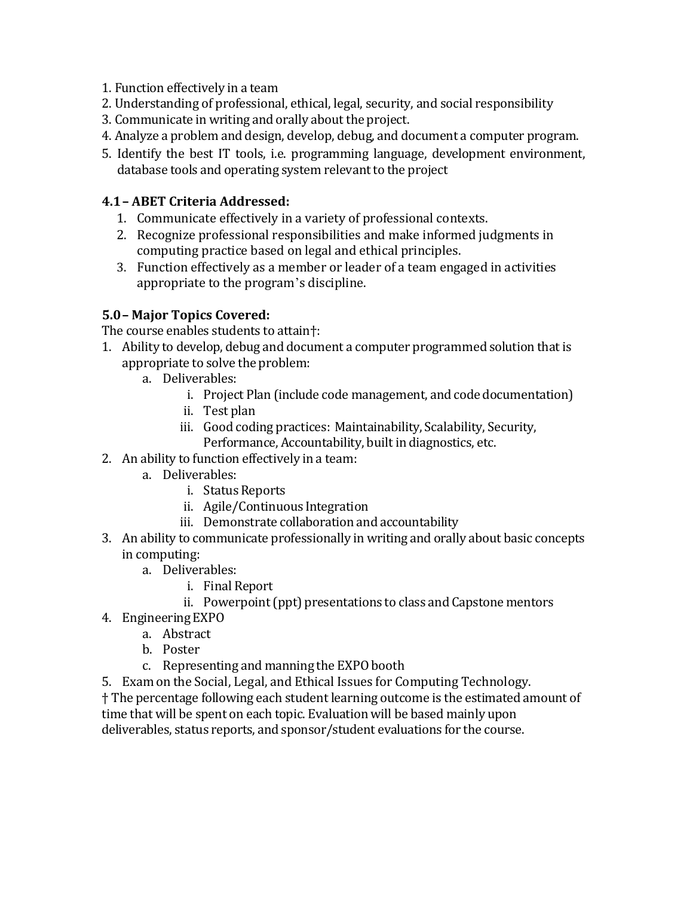- 1. Function effectively in a team
- 2. Understanding of professional, ethical, legal, security, and social responsibility
- 3. Communicate in writing and orally about the project.
- 4. Analyze a problem and design, develop, debug, and document a computer program.
- 5. Identify the best IT tools, i.e. programming language, development environment, database tools and operating system relevant to the project

# **4.1– ABET Criteria Addressed:**

- 1. Communicate effectively in a variety of professional contexts.
- 2. Recognize professional responsibilities and make informed judgments in computing practice based on legal and ethical principles.
- 3. Function effectively as a member or leader of a team engaged in activities appropriate to the program's discipline.

# **5.0– Major Topics Covered:**

The course enables students to attain†:

- 1. Ability to develop, debug and document a computer programmed solution thatis appropriate to solve the problem:
	- a. Deliverables:
		- i. Project Plan (include code management, and code documentation)
		- ii. Test plan
		- iii. Good coding practices: Maintainability, Scalability, Security, Performance, Accountability, built in diagnostics, etc.
- 2. An ability to function effectively in a team:
	- a. Deliverables:
		- i. Status Reports
		- ii. Agile/Continuous Integration
		- iii. Demonstrate collaboration and accountability
- 3. An ability to communicate professionally in writing and orally about basic concepts in computing:
	- a. Deliverables:
		- i. Final Report
		- ii. Powerpoint (ppt) presentations to class and Capstone mentors
- 4. Engineering EXPO
	- a. Abstract
	- b. Poster
	- c. Representing and manning the EXPO booth
- 5. Exam on the Social, Legal, and Ethical Issues for Computing Technology.

† The percentage following each student learning outcome is the estimated amount of time that will be spent on each topic. Evaluation will be based mainly upon deliverables, status reports, and sponsor/student evaluations for the course.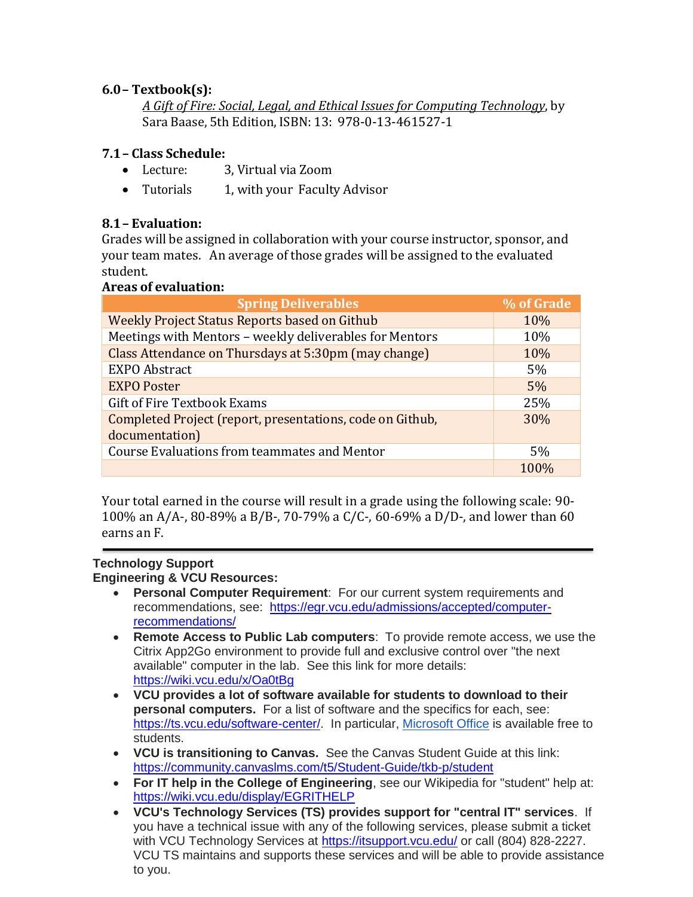# **6.0– Textbook(s):**

*A Gift of Fire: Social, Legal, and Ethical Issues for Computing Technology*, by Sara Baase, 5th Edition, ISBN: 13: 978-0-13-461527-1

# **7.1– Class Schedule:**

- Lecture: 3, Virtual via Zoom
- Tutorials 1, with your Faculty Advisor

# **8.1– Evaluation:**

Grades will be assigned in collaboration with your course instructor, sponsor, and your team mates. An average of those grades will be assigned to the evaluated student.

# **Areas of evaluation:**

| <b>Spring Deliverables</b>                                | % of Grade       |
|-----------------------------------------------------------|------------------|
| <b>Weekly Project Status Reports based on Github</b>      | 10%              |
| Meetings with Mentors - weekly deliverables for Mentors   | 10%              |
| Class Attendance on Thursdays at 5:30pm (may change)      | 10%              |
| <b>EXPO Abstract</b>                                      | 5%               |
| <b>EXPO Poster</b>                                        | 5%               |
| <b>Gift of Fire Textbook Exams</b>                        | 25%              |
| Completed Project (report, presentations, code on Github, | 30%              |
| documentation)                                            |                  |
| <b>Course Evaluations from teammates and Mentor</b>       | 5%               |
|                                                           | 100 <sub>%</sub> |

Your total earned in the course will result in a grade using the following scale: 90- 100% an A/A-, 80-89% a B/B-, 70-79% a C/C-, 60-69% a D/D-, and lower than 60 earns an F.

#### **Technology Support Engineering & VCU Resources:**

- **Personal Computer Requirement**: For our current system requirements and recommendations, see: [https://egr.vcu.edu/admissions/accepted/computer](https://egr.vcu.edu/admissions/accepted/computer-recommendations/)[recommendations/](https://egr.vcu.edu/admissions/accepted/computer-recommendations/)
- **Remote Access to Public Lab computers**: To provide remote access, we use the Citrix App2Go environment to provide full and exclusive control over "the next available" computer in the lab. See this link for more details: <https://wiki.vcu.edu/x/Oa0tBg>
- **VCU provides a lot of software available for students to download to their personal computers.** For a list of software and the specifics for each, see: [https://ts.vcu.edu/software-center/.](https://ts.vcu.edu/software-center/) In particular, [Microsoft Office](https://go.vcu.edu/microsoft) is available free to students.
- **VCU is transitioning to Canvas.** See the Canvas Student Guide at this link: <https://community.canvaslms.com/t5/Student-Guide/tkb-p/student>
- **For IT help in the College of Engineering**, see our Wikipedia for "student" help at: <https://wiki.vcu.edu/display/EGRITHELP>
- **VCU's Technology Services (TS) provides support for "central IT" services**. If you have a technical issue with any of the following services, please submit a ticket with VCU Technology Services at <https://itsupport.vcu.edu/> or call (804) 828-2227. VCU TS maintains and supports these services and will be able to provide assistance to you.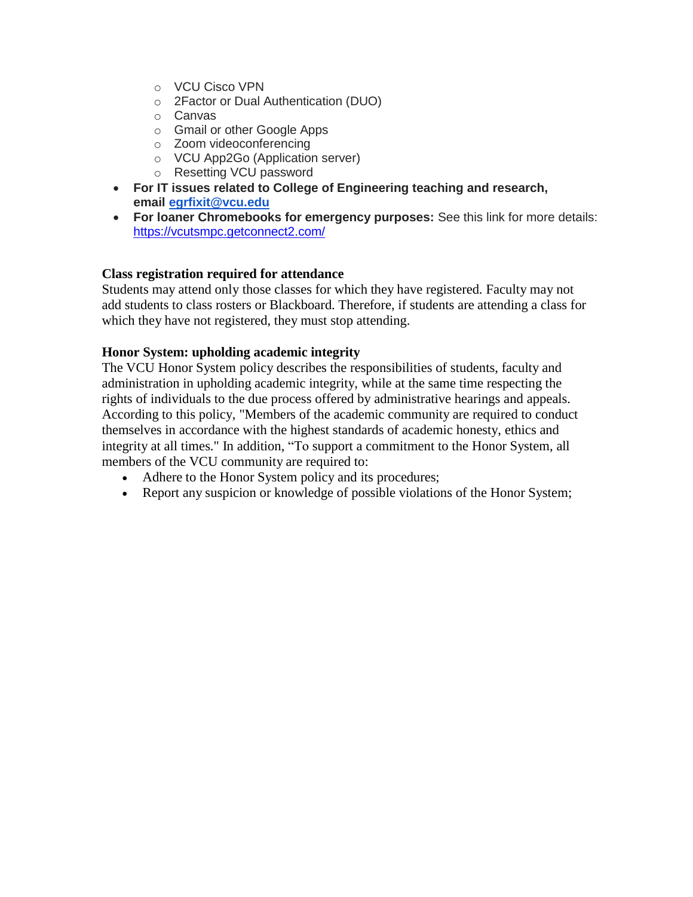- o VCU Cisco VPN
- o 2Factor or Dual Authentication (DUO)
- o Canvas
- o Gmail or other Google Apps
- o Zoom videoconferencing
- o VCU App2Go (Application server)
- o Resetting VCU password
- **For IT issues related to College of Engineering teaching and research, email [egrfixit@vcu.edu](mailto:egrfixit@vcu.edu)**
- **For loaner Chromebooks for emergency purposes:** See this link for more details: <https://vcutsmpc.getconnect2.com/>

## **Class registration required for attendance**

Students may attend only those classes for which they have registered. Faculty may not add students to class rosters or Blackboard. Therefore, if students are attending a class for which they have not registered, they must stop attending.

## **Honor System: upholding academic integrity**

The VCU Honor System policy describes the responsibilities of students, faculty and administration in upholding academic integrity, while at the same time respecting the rights of individuals to the due process offered by administrative hearings and appeals. According to this policy, "Members of the academic community are required to conduct themselves in accordance with the highest standards of academic honesty, ethics and integrity at all times." In addition, "To support a commitment to the Honor System, all members of the VCU community are required to:

- Adhere to the Honor System policy and its procedures;
- Report any suspicion or knowledge of possible violations of the Honor System;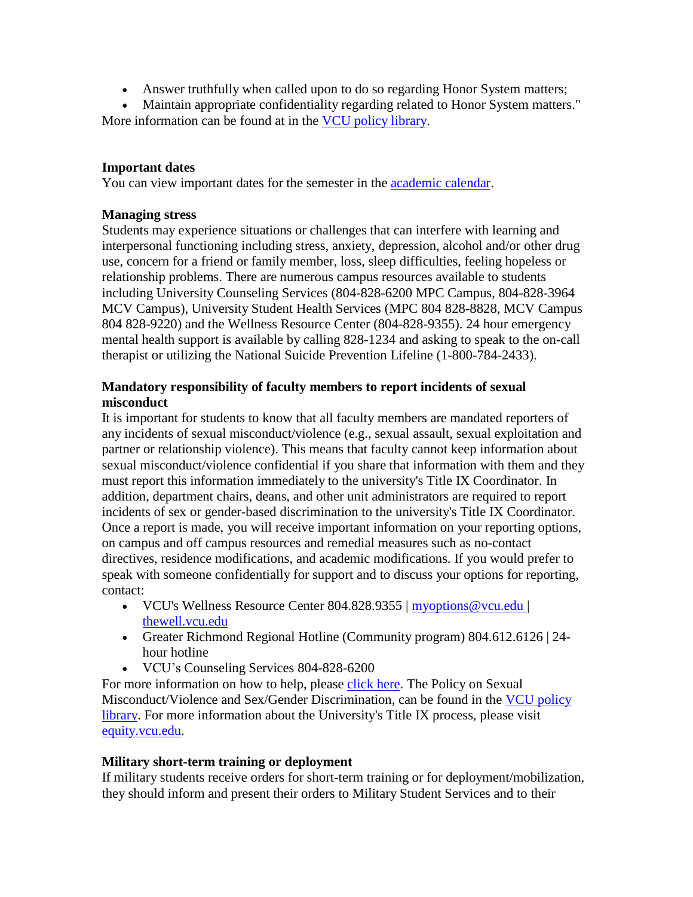• Answer truthfully when called upon to do so regarding Honor System matters;

• Maintain appropriate confidentiality regarding related to Honor System matters." More information can be found at in the [VCU policy](http://www.policy.vcu.edu/) library.

# **Important dates**

You can view important dates for the semester in the [academic calendar.](http://academiccalendars.vcu.edu/)

## **Managing stress**

Students may experience situations or challenges that can interfere with learning and interpersonal functioning including stress, anxiety, depression, alcohol and/or other drug use, concern for a friend or family member, loss, sleep difficulties, feeling hopeless or relationship problems. There are numerous campus resources available to students including University Counseling Services (804-828-6200 MPC Campus, 804-828-3964 MCV Campus), University Student Health Services (MPC 804 828-8828, MCV Campus 804 828-9220) and the Wellness Resource Center (804-828-9355). 24 hour emergency mental health support is available by calling 828-1234 and asking to speak to the on-call therapist or utilizing the National Suicide Prevention Lifeline (1-800-784-2433).

# **Mandatory responsibility of faculty members to report incidents of sexual misconduct**

It is important for students to know that all faculty members are mandated reporters of any incidents of sexual misconduct/violence (e.g., sexual assault, sexual exploitation and partner or relationship violence). This means that faculty cannot keep information about sexual misconduct/violence confidential if you share that information with them and they must report this information immediately to the university's Title IX Coordinator. In addition, department chairs, deans, and other unit administrators are required to report incidents of sex or gender-based discrimination to the university's Title IX Coordinator. Once a report is made, you will receive important information on your reporting options, on campus and off campus resources and remedial measures such as no-contact directives, residence modifications, and academic modifications. If you would prefer to speak with someone confidentially for support and to discuss your options for reporting, contact:

- VCU's Wellness Resource Center 804.828.9355 | [myoptions@vcu.edu](mailto:myoptions@vcu.edu)| [thewell.vcu.edu](http://thewell.vcu.edu/)
- Greater Richmond Regional Hotline (Community program) 804.612.6126 | 24hour hotline
- VCU's Counseling Services 804-828-6200

For more information on how to help, please click [here.](http://thewell.vcu.edu/advocacy-services/how-to-help-/) The Policy on Sexual Misconduct/Violence and Sex/Gender Discrimination, can be found in the [VCU policy](http://www.policy.vcu.edu/sites/default/files/Sexual%20Misconduct%20Violence%20and%20Sex%20Gender%20Discrimination.pdf) [library.](http://www.policy.vcu.edu/sites/default/files/Sexual%20Misconduct%20Violence%20and%20Sex%20Gender%20Discrimination.pdf) For more information about the University's Title IX process, please visit [equity.vcu.edu.](http://equity.vcu.edu/)

## **Military short-term training or deployment**

If military students receive orders for short-term training or for deployment/mobilization, they should inform and present their orders to Military Student Services and to their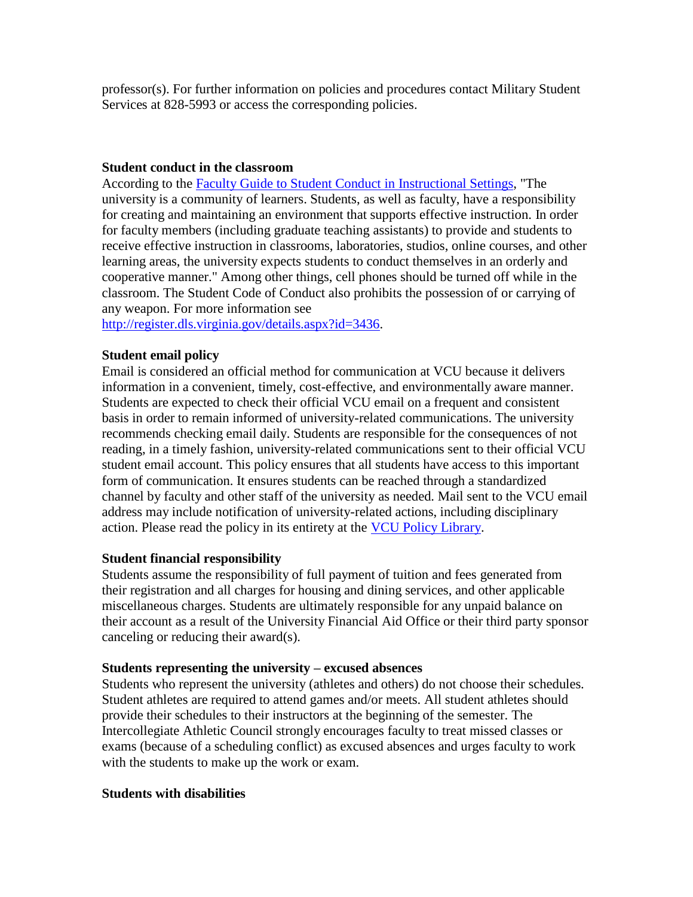professor(s). For further information on policies and procedures contact Military Student Services at 828-5993 or access the corresponding policies.

#### **Student conduct in the classroom**

According to the Faculty Guide [to Student Conduct](https://policy.vcu.edu/sites/default/files/Faculty%20Guide%20to%20Student%20Conduct%20in%20Instructional%20Settings.pdf) in Instructional Settings, "The university is a community of learners. Students, as well as faculty, have a responsibility for creating and maintaining an environment that supports effective instruction. In order for faculty members (including graduate teaching assistants) to provide and students to receive effective instruction in classrooms, laboratories, studios, online courses, and other learning areas, the university expects students to conduct themselves in an orderly and cooperative manner." Among other things, cell phones should be turned off while in the classroom. The Student Code of Conduct also prohibits the possession of or carrying of any weapon. For more information see

[http://register.dls.virginia.gov/details.aspx?id=3436.](http://register.dls.virginia.gov/details.aspx?id=3436)

## **Student email policy**

Email is considered an official method for communication at VCU because it delivers information in a convenient, timely, cost-effective, and environmentally aware manner. Students are expected to check their official VCU email on a frequent and consistent basis in order to remain informed of university-related communications. The university recommends checking email daily. Students are responsible for the consequences of not reading, in a timely fashion, university-related communications sent to their official VCU student email account. This policy ensures that all students have access to this important form of communication. It ensures students can be reached through a standardized channel by faculty and other staff of the university as needed. Mail sent to the VCU email address may include notification of university-related actions, including disciplinary action. Please read the policy in its entirety at the [VCU Policy](http://www.policy.vcu.edu/sites/default/files/Student%20Email%20Policy_0.pdf) Library.

## **Student financial responsibility**

Students assume the responsibility of full payment of tuition and fees generated from their registration and all charges for housing and dining services, and other applicable miscellaneous charges. Students are ultimately responsible for any unpaid balance on their account as a result of the University Financial Aid Office or their third party sponsor canceling or reducing their award(s).

## **Students representing the university – excused absences**

Students who represent the university (athletes and others) do not choose their schedules. Student athletes are required to attend games and/or meets. All student athletes should provide their schedules to their instructors at the beginning of the semester. The Intercollegiate Athletic Council strongly encourages faculty to treat missed classes or exams (because of a scheduling conflict) as excused absences and urges faculty to work with the students to make up the work or exam.

## **Students with disabilities**